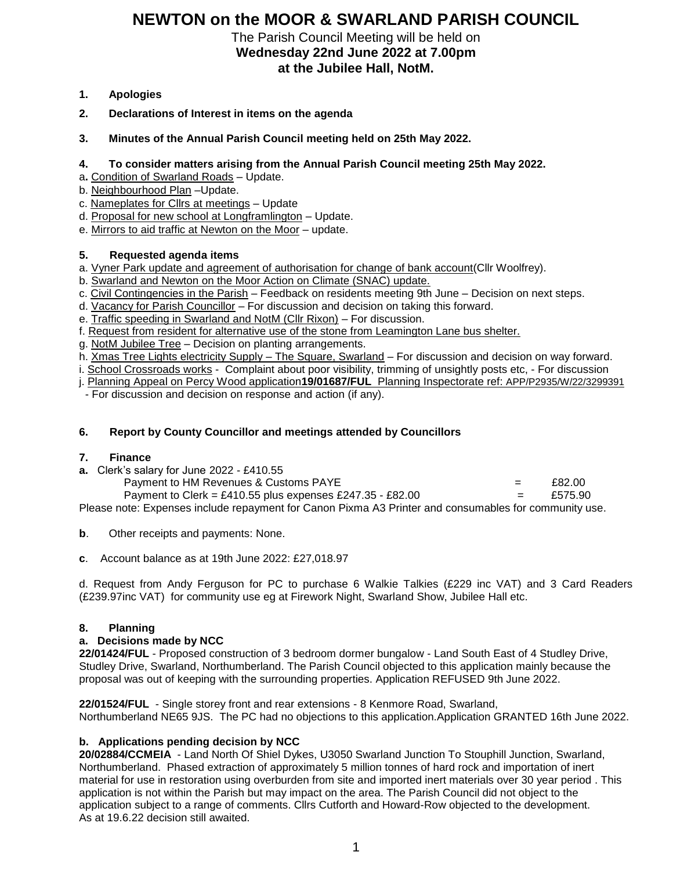# **NEWTON on the MOOR & SWARLAND PARISH COUNCIL**

The Parish Council Meeting will be held on **Wednesday 22nd June 2022 at 7.00pm at the Jubilee Hall, NotM.**

- **1. Apologies**
- **2. Declarations of Interest in items on the agenda**
- **3. Minutes of the Annual Parish Council meeting held on 25th May 2022.**

## **4. To consider matters arising from the Annual Parish Council meeting 25th May 2022.**

- a**.** Condition of Swarland Roads Update.
- b. Neighbourhood Plan –Update.
- c. Nameplates for Cllrs at meetings Update
- d. Proposal for new school at Longframlington Update.
- e. Mirrors to aid traffic at Newton on the Moor update.

## **5. Requested agenda items**

- a. Vyner Park update and agreement of authorisation for change of bank account(Cllr Woolfrey).
- b. Swarland and Newton on the Moor Action on Climate (SNAC) update.
- c. Civil Contingencies in the Parish Feedback on residents meeting 9th June Decision on next steps.
- d. Vacancy for Parish Councillor For discussion and decision on taking this forward.

e. Traffic speeding in Swarland and NotM (Cllr Rixon) - For discussion.

- f. Request from resident for alternative use of the stone from Leamington Lane bus shelter.
- g. NotM Jubilee Tree Decision on planting arrangements.

h. Xmas Tree Lights electricity Supply – The Square, Swarland – For discussion and decision on way forward.

i. School Crossroads works - Complaint about poor visibility, trimming of unsightly posts etc, - For discussion

j. Planning Appeal on Percy Wood application**19/01687/FUL** Planning Inspectorate ref: APP/P2935/W/22/3299391

- For discussion and decision on response and action (if any).

## **6. Report by County Councillor and meetings attended by Councillors**

### **7. Finance**

**a.** Clerk's salary for June 2022 - £410.55

Payment to HM Revenues & Customs PAYE  $=$  £82.00 Payment to Clerk = £410.55 plus expenses  $£247.35 - £82.00$  = £575.90 Please note: Expenses include repayment for Canon Pixma A3 Printer and consumables for community use.

**b**. Other receipts and payments: None.

**c**.Account balance as at 19th June 2022: £27,018.97

d. Request from Andy Ferguson for PC to purchase 6 Walkie Talkies (£229 inc VAT) and 3 Card Readers (£239.97inc VAT) for community use eg at Firework Night, Swarland Show, Jubilee Hall etc.

## **8. Planning**

### **a. Decisions made by NCC**

**22/01424/FUL** - Proposed construction of 3 bedroom dormer bungalow - Land South East of 4 Studley Drive, Studley Drive, Swarland, Northumberland. The Parish Council objected to this application mainly because the proposal was out of keeping with the surrounding properties. Application REFUSED 9th June 2022.

**22/01524/FUL** - Single storey front and rear extensions - 8 Kenmore Road, Swarland, Northumberland NE65 9JS. The PC had no objections to this application.Application GRANTED 16th June 2022.

## **b. Applications pending decision by NCC**

**20/02884/CCMEIA** - Land North Of Shiel Dykes, U3050 Swarland Junction To Stouphill Junction, Swarland, Northumberland. [Phased extraction of approximately 5 million tonnes of hard rock and importation of inert](https://publicaccess.northumberland.gov.uk/online-applications/applicationDetails.do?keyVal=QG2VL9QS0K500&activeTab=summary)  [material for use in restoration using overburden from site and imported inert materials over 30 year period](https://publicaccess.northumberland.gov.uk/online-applications/applicationDetails.do?keyVal=QG2VL9QS0K500&activeTab=summary) . This application is not within the Parish but may impact on the area. The Parish Council did not object to the application subject to a range of comments. Cllrs Cutforth and Howard-Row objected to the development. As at 19.6.22 decision still awaited.